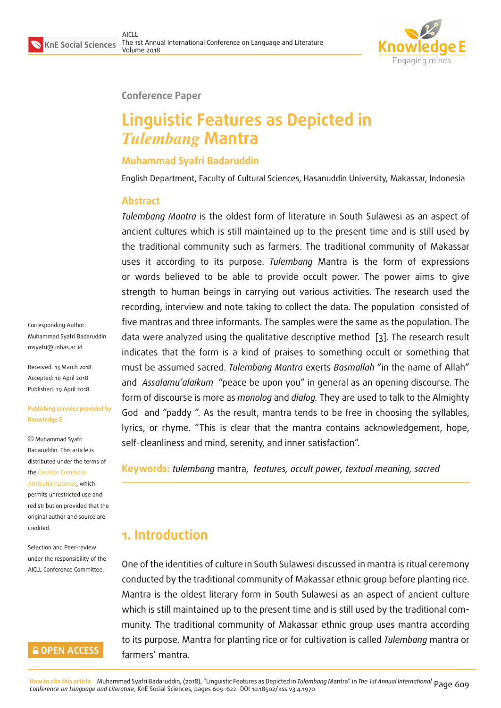

#### **Conference Paper**

# **Linguistic Features as Depicted in** *Tulembang* **Mantra**

### **Muhammad Syafri Badaruddin**

English Department, Faculty of Cultural Sciences, Hasanuddin University, Makassar, Indonesia

### **Abstract**

*Tulembang Mantra* is the oldest form of literature in South Sulawesi as an aspect of ancient cultures which is still maintained up to the present time and is still used by the traditional community such as farmers. The traditional community of Makassar uses it according to its purpose. *Tulembang* Mantra is the form of expressions or words believed to be able to provide occult power. The power aims to give strength to human beings in carrying out various activities. The research used the recording, interview and note taking to collect the data. The population consisted of five mantras and three informants. The samples were the same as the population. The data were analyzed using the qualitative descriptive method [3]. The research result indicates that the form is a kind of praises to something occult or something that must be assumed sacred. *Tulembang Mantra* exerts *Basmallah* "in the name of Allah" and *Assalamu'alaikum* "peace be upon you" in general as an [op](#page-12-0)ening discourse. The form of discourse is more as *monolog* and *dialog.* They are used to talk to the Almighty God and "paddy ". As the result, mantra tends to be free in choosing the syllables, lyrics, or rhyme. "This is clear that the mantra contains acknowledgement, hope, self-cleanliness and mind, serenity, and inner satisfaction".

**Keywords:** *tulembang* mantra, *features, occult power, textual meaning, sacred*

## **1. Introduction**

One of the identities of culture in South Sulawesi discussed in mantra is ritual ceremony conducted by the traditional community of Makassar ethnic group before planting rice. Mantra is the oldest literary form in South Sulawesi as an aspect of ancient culture which is still maintained up to the present time and is still used by the traditional community. The traditional community of Makassar ethnic group uses mantra according to its purpose. Mantra for planting rice or for cultivation is called *Tulembang* mantra or farmers' mantra.

Corresponding Author: Muhammad Syafri Badaruddin msyafri@unhas.ac.id

Received: 13 March 2018 Accepted: 10 April 2018 [Published: 19 April 20](mailto:msyafri@unhas.ac.id)18

#### **Publishing services provided by Knowledge E**

Muhammad Syafri Badaruddin. This article is distributed under the terms of the Creative Commons

Attribution License, which permits unrestricted use and redistribution provided that the ori[ginal author and sou](https://creativecommons.org/licenses/by/4.0/)rce are [credited.](https://creativecommons.org/licenses/by/4.0/)

Selection and Peer-review under the responsibility of the AICLL Conference Committee.

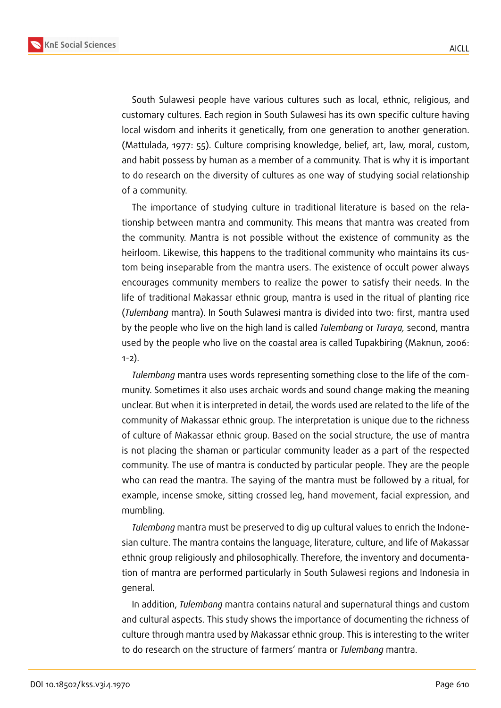



South Sulawesi people have various cultures such as local, ethnic, religious, and customary cultures. Each region in South Sulawesi has its own specific culture having local wisdom and inherits it genetically, from one generation to another generation. (Mattulada, 1977: 55). Culture comprising knowledge, belief, art, law, moral, custom, and habit possess by human as a member of a community. That is why it is important to do research on the diversity of cultures as one way of studying social relationship of a community.

The importance of studying culture in traditional literature is based on the relationship between mantra and community. This means that mantra was created from the community. Mantra is not possible without the existence of community as the heirloom. Likewise, this happens to the traditional community who maintains its custom being inseparable from the mantra users. The existence of occult power always encourages community members to realize the power to satisfy their needs. In the life of traditional Makassar ethnic group, mantra is used in the ritual of planting rice (*Tulembang* mantra). In South Sulawesi mantra is divided into two: first, mantra used by the people who live on the high land is called *Tulembang* or *Turaya,* second, mantra used by the people who live on the coastal area is called Tupakbiring (Maknun, 2006: 1-2).

*Tulembang* mantra uses words representing something close to the life of the community. Sometimes it also uses archaic words and sound change making the meaning unclear. But when it is interpreted in detail, the words used are related to the life of the community of Makassar ethnic group. The interpretation is unique due to the richness of culture of Makassar ethnic group. Based on the social structure, the use of mantra is not placing the shaman or particular community leader as a part of the respected community. The use of mantra is conducted by particular people. They are the people who can read the mantra. The saying of the mantra must be followed by a ritual, for example, incense smoke, sitting crossed leg, hand movement, facial expression, and mumbling.

*Tulembang* mantra must be preserved to dig up cultural values to enrich the Indonesian culture. The mantra contains the language, literature, culture, and life of Makassar ethnic group religiously and philosophically. Therefore, the inventory and documentation of mantra are performed particularly in South Sulawesi regions and Indonesia in general.

In addition, *Tulembang* mantra contains natural and supernatural things and custom and cultural aspects. This study shows the importance of documenting the richness of culture through mantra used by Makassar ethnic group. This is interesting to the writer to do research on the structure of farmers' mantra or *Tulembang* mantra.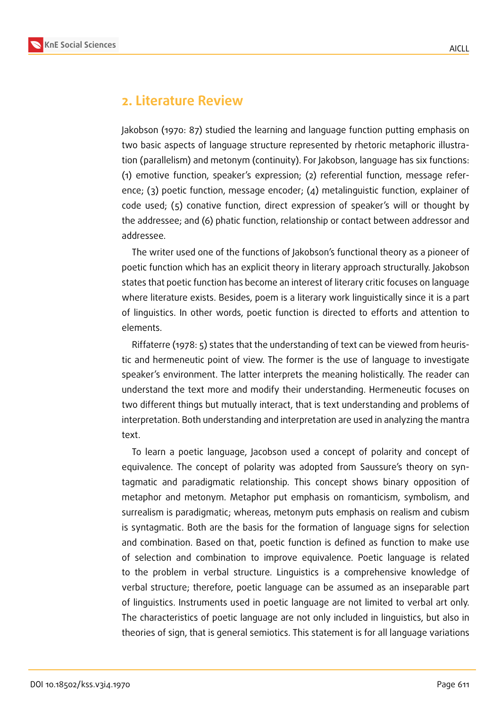



## **2. Literature Review**

Jakobson (1970: 87) studied the learning and language function putting emphasis on two basic aspects of language structure represented by rhetoric metaphoric illustration (parallelism) and metonym (continuity). For Jakobson, language has six functions: (1) emotive function, speaker's expression; (2) referential function, message reference; (3) poetic function, message encoder; (4) metalinguistic function, explainer of code used; (5) conative function, direct expression of speaker's will or thought by the addressee; and (6) phatic function, relationship or contact between addressor and addressee.

The writer used one of the functions of Jakobson's functional theory as a pioneer of poetic function which has an explicit theory in literary approach structurally. Jakobson states that poetic function has become an interest of literary critic focuses on language where literature exists. Besides, poem is a literary work linguistically since it is a part of linguistics. In other words, poetic function is directed to efforts and attention to elements.

Riffaterre (1978: 5) states that the understanding of text can be viewed from heuristic and hermeneutic point of view. The former is the use of language to investigate speaker's environment. The latter interprets the meaning holistically. The reader can understand the text more and modify their understanding. Hermeneutic focuses on two different things but mutually interact, that is text understanding and problems of interpretation. Both understanding and interpretation are used in analyzing the mantra text.

To learn a poetic language, Jacobson used a concept of polarity and concept of equivalence. The concept of polarity was adopted from Saussure's theory on syntagmatic and paradigmatic relationship. This concept shows binary opposition of metaphor and metonym. Metaphor put emphasis on romanticism, symbolism, and surrealism is paradigmatic; whereas, metonym puts emphasis on realism and cubism is syntagmatic. Both are the basis for the formation of language signs for selection and combination. Based on that, poetic function is defined as function to make use of selection and combination to improve equivalence. Poetic language is related to the problem in verbal structure. Linguistics is a comprehensive knowledge of verbal structure; therefore, poetic language can be assumed as an inseparable part of linguistics. Instruments used in poetic language are not limited to verbal art only. The characteristics of poetic language are not only included in linguistics, but also in theories of sign, that is general semiotics. This statement is for all language variations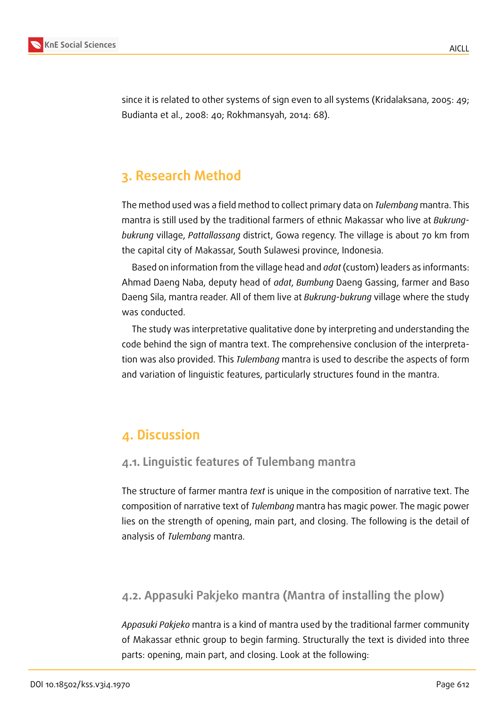

since it is related to other systems of sign even to all systems (Kridalaksana, 2005: 49; Budianta et al., 2008: 40; Rokhmansyah, 2014: 68).

## **3. Research Method**

The method used was a field method to collect primary data on *Tulembang* mantra. This mantra is still used by the traditional farmers of ethnic Makassar who live at *Bukrungbukrung* village, *Pattallassang* district, Gowa regency. The village is about 70 km from the capital city of Makassar, South Sulawesi province, Indonesia.

Based on information from the village head and *adat* (custom) leaders as informants: Ahmad Daeng Naba, deputy head of *adat*, *Bumbung* Daeng Gassing, farmer and Baso Daeng Sila, mantra reader. All of them live at *Bukrung*-*bukrung* village where the study was conducted.

The study was interpretative qualitative done by interpreting and understanding the code behind the sign of mantra text. The comprehensive conclusion of the interpretation was also provided. This *Tulembang* mantra is used to describe the aspects of form and variation of linguistic features, particularly structures found in the mantra.

## **4. Discussion**

## **4.1. Linguistic features of Tulembang mantra**

The structure of farmer mantra *text* is unique in the composition of narrative text. The composition of narrative text of *Tulembang* mantra has magic power. The magic power lies on the strength of opening, main part, and closing. The following is the detail of analysis of *Tulembang* mantra.

## **4.2. Appasuki Pakjeko mantra (Mantra of installing the plow)**

*Appasuki Pakjeko* mantra is a kind of mantra used by the traditional farmer community of Makassar ethnic group to begin farming. Structurally the text is divided into three parts: opening, main part, and closing. Look at the following: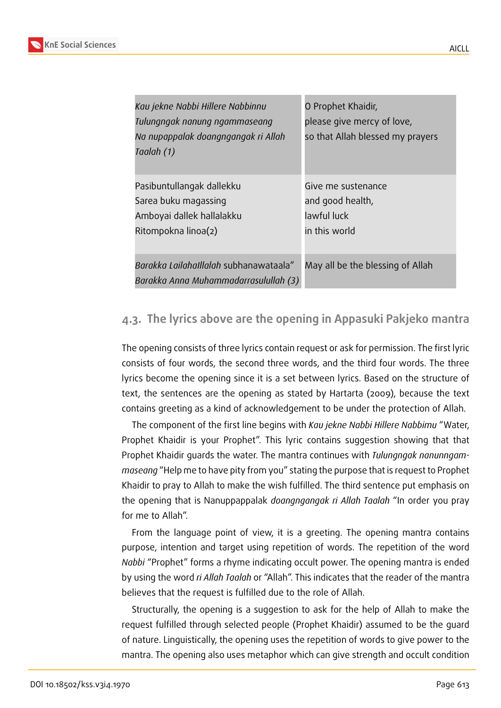

| Kau jekne Nabbi Hillere Nabbinnu                                                | O Prophet Khaidir,               |
|---------------------------------------------------------------------------------|----------------------------------|
| Tulungngak nanung ngammaseang                                                   | please give mercy of love,       |
| Na nupappalak doangngangak ri Allah                                             | so that Allah blessed my prayers |
| Taalah (1)                                                                      |                                  |
| Pasibuntullangak dallekku                                                       | Give me sustenance               |
| Sarea buku magassing                                                            | and good health,                 |
| Amboyai dallek hallalakku                                                       | lawful luck                      |
| Ritompokna linoa(2)                                                             | in this world                    |
| Barakka LailahaIllalah subhanawataala"<br>Barakka Anna Muhammadarrasulullah (3) | May all be the blessing of Allah |

### **4.3. The lyrics above are the opening in Appasuki Pakjeko mantra**

The opening consists of three lyrics contain request or ask for permission. The first lyric consists of four words, the second three words, and the third four words. The three lyrics become the opening since it is a set between lyrics. Based on the structure of text, the sentences are the opening as stated by Hartarta (2009), because the text contains greeting as a kind of acknowledgement to be under the protection of Allah.

The component of the first line begins with *Kau jekne Nabbi Hillere Nabbimu* "Water, Prophet Khaidir is your Prophet". This lyric contains suggestion showing that that Prophet Khaidir guards the water. The mantra continues with *Tulungngak nanunngammaseang* "Help me to have pity from you" stating the purpose that is request to Prophet Khaidir to pray to Allah to make the wish fulfilled. The third sentence put emphasis on the opening that is Nanuppappalak *doangngangak ri Allah Taalah* "In order you pray for me to Allah".

From the language point of view, it is a greeting. The opening mantra contains purpose, intention and target using repetition of words. The repetition of the word *Nabbi* "Prophet" forms a rhyme indicating occult power. The opening mantra is ended by using the word *ri Allah Taalah* or "Allah". This indicates that the reader of the mantra believes that the request is fulfilled due to the role of Allah.

Structurally, the opening is a suggestion to ask for the help of Allah to make the request fulfilled through selected people (Prophet Khaidir) assumed to be the guard of nature. Linguistically, the opening uses the repetition of words to give power to the mantra. The opening also uses metaphor which can give strength and occult condition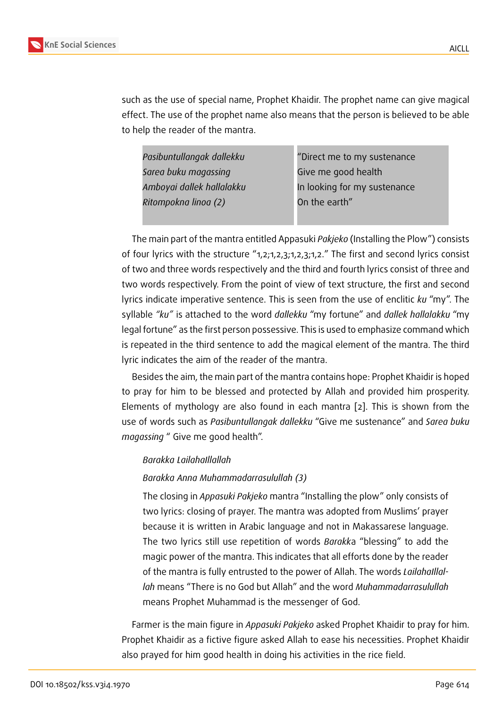such as the use of special name, Prophet Khaidir. The prophet name can give magical effect. The use of the prophet name also means that the person is believed to be able to help the reader of the mantra.

| Pasibuntullangak dallekku | "Direct me to my sustenance  |
|---------------------------|------------------------------|
| Sarea buku magassing      | Give me good health          |
| Amboyai dallek hallalakku | In looking for my sustenance |
| Ritompokna linoa (2)      | On the earth"                |
|                           |                              |

The main part of the mantra entitled Appasuki *Pakjeko* (Installing the Plow") consists of four lyrics with the structure "1,2;1,2,3;1,2,3;1,2." The first and second lyrics consist of two and three words respectively and the third and fourth lyrics consist of three and two words respectively. From the point of view of text structure, the first and second lyrics indicate imperative sentence. This is seen from the use of enclitic *ku* "my". The syllable *"ku"* is attached to the word *dallekku* "my fortune" and *dallek hallalakku* "my legal fortune" as the first person possessive. This is used to emphasize command which is repeated in the third sentence to add the magical element of the mantra. The third lyric indicates the aim of the reader of the mantra.

Besides the aim, the main part of the mantra contains hope: Prophet Khaidir is hoped to pray for him to be blessed and protected by Allah and provided him prosperity. Elements of mythology are also found in each mantra [2]. This is shown from the use of words such as *Pasibuntullangak dallekku* "Give me sustenance" and *Sarea buku magassing* " Give me good health".

#### *Barakka LailahaIllallah*

#### *Barakka Anna Muhammadarrasulullah (3)*

The closing in *Appasuki Pakjeko* mantra "Installing the plow" only consists of two lyrics: closing of prayer. The mantra was adopted from Muslims' prayer because it is written in Arabic language and not in Makassarese language. The two lyrics still use repetition of words *Barakk*a "blessing" to add the magic power of the mantra. This indicates that all efforts done by the reader of the mantra is fully entrusted to the power of Allah. The words *LailahaIllallah* means "There is no God but Allah" and the word *Muhammadarrasulullah* means Prophet Muhammad is the messenger of God.

Farmer is the main figure in *Appasuki Pakjeko* asked Prophet Khaidir to pray for him. Prophet Khaidir as a fictive figure asked Allah to ease his necessities. Prophet Khaidir also prayed for him good health in doing his activities in the rice field.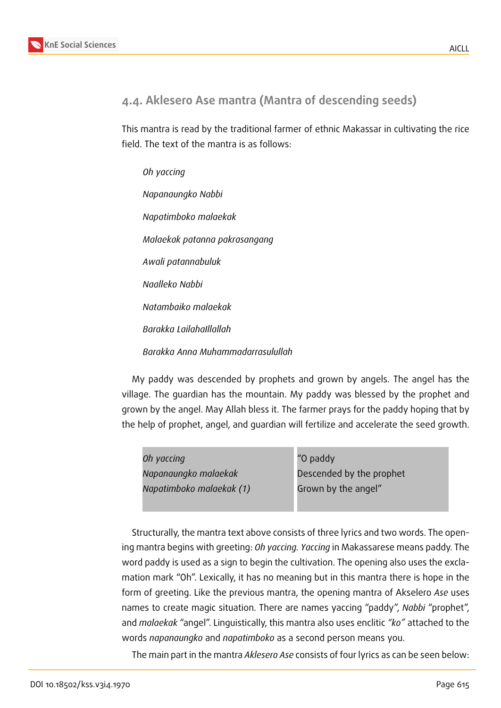## **4.4. Aklesero Ase mantra (Mantra of descending seeds)**

This mantra is read by the traditional farmer of ethnic Makassar in cultivating the rice field. The text of the mantra is as follows:

*Oh yaccing Napanaungko Nabbi Napatimboko malaekak Malaekak patanna pakrasangang Awali patannabuluk Naalleko Nabbi Natambaiko malaekak Barakka LailahaIllallah Barakka Anna Muhammadarrasulullah*

My paddy was descended by prophets and grown by angels. The angel has the village. The guardian has the mountain. My paddy was blessed by the prophet and grown by the angel. May Allah bless it. The farmer prays for the paddy hoping that by the help of prophet, angel, and guardian will fertilize and accelerate the seed growth.

| Oh yaccing               | "O paddy                 |
|--------------------------|--------------------------|
| Napanaungko malaekak     | Descended by the prophet |
| Napatimboko malaekak (1) | Grown by the angel"      |

Structurally, the mantra text above consists of three lyrics and two words. The opening mantra begins with greeting: *Oh yaccing. Yaccing* in Makassarese means paddy. The word paddy is used as a sign to begin the cultivation. The opening also uses the exclamation mark "Oh". Lexically, it has no meaning but in this mantra there is hope in the form of greeting. Like the previous mantra, the opening mantra of Akselero *Ase* uses names to create magic situation. There are names yaccing "paddy", *Nabbi* "prophet", and *malaekak* "angel". Linguistically, this mantra also uses enclitic *"ko"* attached to the words *napanaungko* and *napatimboko* as a second person means you.

The main part in the mantra *Aklesero Ase* consists of four lyrics as can be seen below: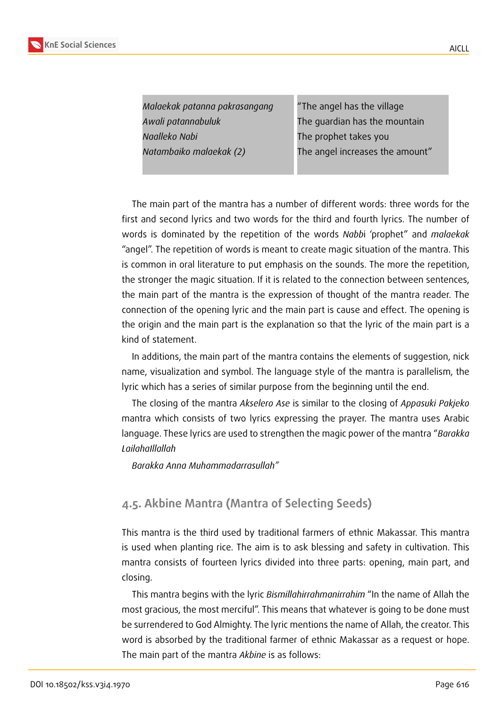*Malaekak patanna pakrasangang Awali patannabuluk Naalleko Nabi Natambaiko malaekak (2)*

"The angel has the village The guardian has the mountain The prophet takes you The angel increases the amount"

The main part of the mantra has a number of different words: three words for the first and second lyrics and two words for the third and fourth lyrics. The number of words is dominated by the repetition of the words *Nabb*i 'prophet" and *malaekak* "angel". The repetition of words is meant to create magic situation of the mantra. This is common in oral literature to put emphasis on the sounds. The more the repetition, the stronger the magic situation. If it is related to the connection between sentences, the main part of the mantra is the expression of thought of the mantra reader. The connection of the opening lyric and the main part is cause and effect. The opening is the origin and the main part is the explanation so that the lyric of the main part is a kind of statement.

In additions, the main part of the mantra contains the elements of suggestion, nick name, visualization and symbol. The language style of the mantra is parallelism, the lyric which has a series of similar purpose from the beginning until the end.

The closing of the mantra *Akselero Ase* is similar to the closing of *Appasuki Pakjeko* mantra which consists of two lyrics expressing the prayer. The mantra uses Arabic language. These lyrics are used to strengthen the magic power of the mantra "*Barakka LailahaIllallah*

*Barakka Anna Muhammadarrasullah"*

## **4.5. Akbine Mantra (Mantra of Selecting Seeds)**

This mantra is the third used by traditional farmers of ethnic Makassar. This mantra is used when planting rice. The aim is to ask blessing and safety in cultivation. This mantra consists of fourteen lyrics divided into three parts: opening, main part, and closing.

This mantra begins with the lyric *Bismillahirrahmanirrahim* "In the name of Allah the most gracious, the most merciful". This means that whatever is going to be done must be surrendered to God Almighty. The lyric mentions the name of Allah, the creator. This word is absorbed by the traditional farmer of ethnic Makassar as a request or hope. The main part of the mantra *Akbine* is as follows: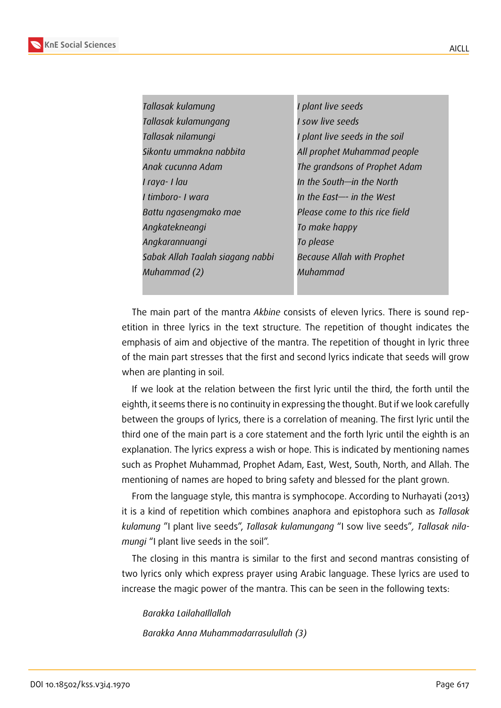*Tallasak kulamung Tallasak kulamungang Tallasak nilamungi Sikontu ummakna nabbita Anak cucunna Adam I raya- I lau I timboro- I wara Battu ngasengmako mae Angkatekneangi Angkarannuangi Sabak Allah Taalah siagang nabbi Muhammad (2)*

*I plant live seeds I sow live seeds I plant live seeds in the soil All prophet Muhammad people The grandsons of Prophet Adam In the South—in the North In the East—- in the West Please come to this rice field To make happy To please Because Allah with Prophet Muhammad*

The main part of the mantra *Akbine* consists of eleven lyrics. There is sound repetition in three lyrics in the text structure. The repetition of thought indicates the emphasis of aim and objective of the mantra. The repetition of thought in lyric three of the main part stresses that the first and second lyrics indicate that seeds will grow when are planting in soil.

If we look at the relation between the first lyric until the third, the forth until the eighth, it seems there is no continuity in expressing the thought. But if we look carefully between the groups of lyrics, there is a correlation of meaning. The first lyric until the third one of the main part is a core statement and the forth lyric until the eighth is an explanation. The lyrics express a wish or hope. This is indicated by mentioning names such as Prophet Muhammad, Prophet Adam, East, West, South, North, and Allah. The mentioning of names are hoped to bring safety and blessed for the plant grown.

From the language style, this mantra is symphocope. According to Nurhayati (2013) it is a kind of repetition which combines anaphora and epistophora such as *Tallasak kulamung* "I plant live seeds", *Tallasak kulamungang* "I sow live seeds"*, Tallasak nilamungi* "I plant live seeds in the soil".

The closing in this mantra is similar to the first and second mantras consisting of two lyrics only which express prayer using Arabic language. These lyrics are used to increase the magic power of the mantra. This can be seen in the following texts:

*Barakka LailahaIllallah Barakka Anna Muhammadarrasulullah (3)*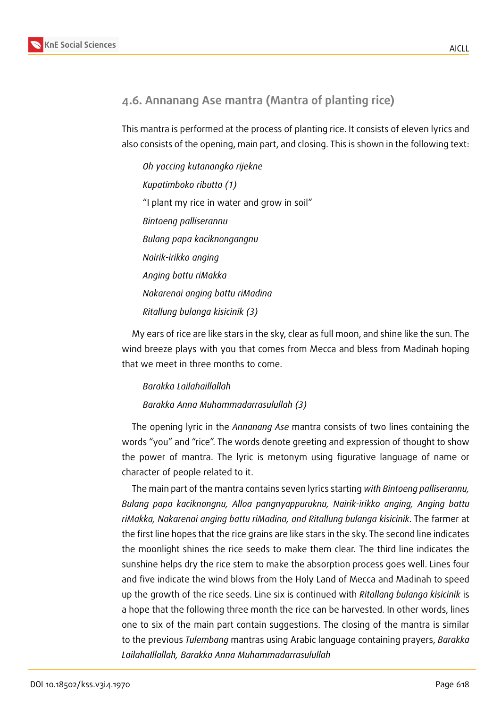## **4.6. Annanang Ase mantra (Mantra of planting rice)**

This mantra is performed at the process of planting rice. It consists of eleven lyrics and also consists of the opening, main part, and closing. This is shown in the following text:

*Oh yaccing kutanangko rijekne Kupatimboko ributta (1)* "I plant my rice in water and grow in soil" *Bintoeng palliserannu Bulang papa kaciknongangnu Nairik-irikko anging Anging battu riMakka Nakarenai anging battu riMadina Ritallung bulanga kisicinik (3)*

My ears of rice are like stars in the sky, clear as full moon, and shine like the sun. The wind breeze plays with you that comes from Mecca and bless from Madinah hoping that we meet in three months to come.

*Barakka Lailahaillallah Barakka Anna Muhammadarrasulullah (3)*

The opening lyric in the *Annanang Ase* mantra consists of two lines containing the words "you" and "rice". The words denote greeting and expression of thought to show the power of mantra. The lyric is metonym using figurative language of name or character of people related to it.

The main part of the mantra contains seven lyrics starting *with Bintoeng palliserannu, Bulang papa kaciknongnu, Alloa pangnyappuruknu, Nairik-irikko anging, Anging battu riMakka, Nakarenai anging battu riMadina, and Ritallung bulanga kisicinik*. The farmer at the first line hopes that the rice grains are like stars in the sky. The second line indicates the moonlight shines the rice seeds to make them clear. The third line indicates the sunshine helps dry the rice stem to make the absorption process goes well. Lines four and five indicate the wind blows from the Holy Land of Mecca and Madinah to speed up the growth of the rice seeds. Line six is continued with *Ritallang bulanga kisicinik* is a hope that the following three month the rice can be harvested. In other words, lines one to six of the main part contain suggestions. The closing of the mantra is similar to the previous *Tulembang* mantras using Arabic language containing prayers, *Barakka LailahaIllallah, Barakka Anna Muhammadarrasulullah*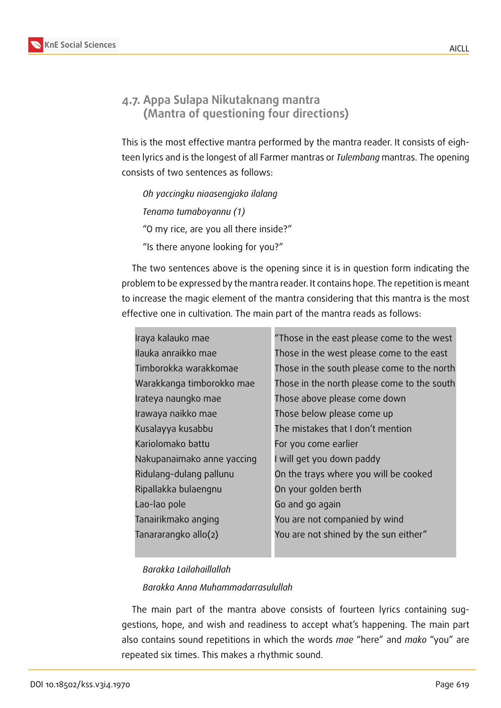## **4.7. Appa Sulapa Nikutaknang mantra (Mantra of questioning four directions)**

This is the most effective mantra performed by the mantra reader. It consists of eighteen lyrics and is the longest of all Farmer mantras or *Tulembang* mantras. The opening consists of two sentences as follows:

*Oh yaccingku niaasengjako ilalang Tenamo tumaboyannu (1)* "O my rice, are you all there inside?" "Is there anyone looking for you?"

The two sentences above is the opening since it is in question form indicating the problem to be expressed by the mantra reader. It contains hope. The repetition is meant to increase the magic element of the mantra considering that this mantra is the most effective one in cultivation. The main part of the mantra reads as follows:

| Iraya kalauko mae          | "Those in the east please come to the west  |
|----------------------------|---------------------------------------------|
| Ilauka anraikko mae        | Those in the west please come to the east   |
| Timborokka warakkomae      | Those in the south please come to the north |
| Warakkanga timborokko mae  | Those in the north please come to the south |
| Irateya naungko mae        | Those above please come down                |
| Irawaya naikko mae         | Those below please come up                  |
| Kusalayya kusabbu          | The mistakes that I don't mention           |
| Kariolomako battu          | For you come earlier                        |
| Nakupanaimako anne yaccing | I will get you down paddy                   |
| Ridulang-dulang pallunu    | On the trays where you will be cooked       |
| Ripallakka bulaengnu       | On your golden berth                        |
| Lao-lao pole               | Go and go again                             |
| Tanairikmako anging        | You are not companied by wind               |
| Tanararangko allo(2)       | You are not shined by the sun either"       |
|                            |                                             |

#### *Barakka Lailahaillallah*

*Barakka Anna Muhammadarrasulullah*

The main part of the mantra above consists of fourteen lyrics containing suggestions, hope, and wish and readiness to accept what's happening. The main part also contains sound repetitions in which the words *mae* "here" and *mako* "you" are repeated six times. This makes a rhythmic sound.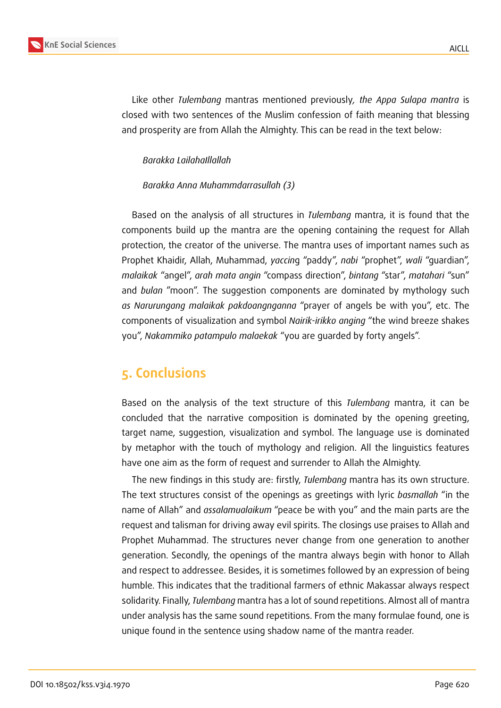

Like other *Tulembang* mantras mentioned previously*, the Appa Sulapa mantra* is closed with two sentences of the Muslim confession of faith meaning that blessing and prosperity are from Allah the Almighty. This can be read in the text below:

*Barakka LailahaIllallah*

*Barakka Anna Muhammdarrasullah (3)*

Based on the analysis of all structures in *Tulembang* mantra, it is found that the components build up the mantra are the opening containing the request for Allah protection, the creator of the universe. The mantra uses of important names such as Prophet Khaidir, Allah, Muhammad, *yaccin*g "paddy", *nabi* "prophet", *wali* "guardian", *malaikak* "angel", *arah mata angin* "compass direction", *bintang* "star", *matahari* "sun" and *bulan* "moon". The suggestion components are dominated by mythology such *as Narurungang malaikak pakdoangnganna* "prayer of angels be with you", etc. The components of visualization and symbol *Nairik-irikko anging* "the wind breeze shakes you", *Nakammiko patampulo malaekak* "you are guarded by forty angels".

## **5. Conclusions**

Based on the analysis of the text structure of this *Tulembang* mantra, it can be concluded that the narrative composition is dominated by the opening greeting, target name, suggestion, visualization and symbol. The language use is dominated by metaphor with the touch of mythology and religion. All the linguistics features have one aim as the form of request and surrender to Allah the Almighty.

The new findings in this study are: firstly, *Tulembang* mantra has its own structure. The text structures consist of the openings as greetings with lyric *basmallah* "in the name of Allah" and *assalamualaikum* "peace be with you" and the main parts are the request and talisman for driving away evil spirits. The closings use praises to Allah and Prophet Muhammad. The structures never change from one generation to another generation. Secondly, the openings of the mantra always begin with honor to Allah and respect to addressee. Besides, it is sometimes followed by an expression of being humble. This indicates that the traditional farmers of ethnic Makassar always respect solidarity. Finally, *Tulembang* mantra has a lot of sound repetitions. Almost all of mantra under analysis has the same sound repetitions. From the many formulae found, one is unique found in the sentence using shadow name of the mantra reader.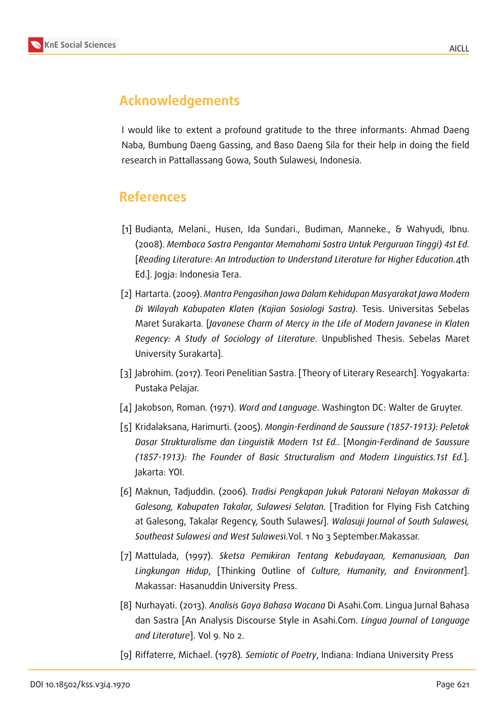

## **Acknowledgements**

I would like to extent a profound gratitude to the three informants: Ahmad Daeng Naba, Bumbung Daeng Gassing, and Baso Daeng Sila for their help in doing the field research in Pattallassang Gowa, South Sulawesi, Indonesia.

## **References**

- [1] Budianta, Melani., Husen, Ida Sundari., Budiman, Manneke., & Wahyudi, Ibnu. (2008). *Membaca Sastra Pengantar Memahami Sastra Untuk Perguruan Tinggi) 4st Ed.* [*Reading Literature*: *An Introduction to Understand Literature for Higher Education.*4th Ed.]. Jogja: Indonesia Tera.
- [2] Hartarta. (2009). *Mantra Pengasihan Jawa Dalam Kehidupan Masyarakat Jawa Modern Di Wilayah Kabupaten Klaten (Kajian Sosiologi Sastra)*. Tesis. Universitas Sebelas Maret Surakarta. [*Javanese Charm of Mercy in the Life of Modern Javanese in Klaten Regency: A Study of Sociology of Literature*. Unpublished Thesis. Sebelas Maret University Surakarta].
- <span id="page-12-0"></span>[3] Jabrohim. (2017). Teori Penelitian Sastra. [Theory of Literary Research]. Yogyakarta: Pustaka Pelajar.
- [4] Jakobson, Roman. (1971). *Word and Language*. Washington DC: Walter de Gruyter.
- [5] Kridalaksana, Harimurti. (2005). *Mongin-Ferdinand de Saussure (1857-1913): Peletak Dasar Strukturalisme dan Linguistik Modern 1st Ed.*. [Mo*ngin-Ferdinand de Saussure (1857-1913): The Founder of Basic Structuralism and Modern Linguistics.1st Ed.*]*.* Jakarta: YOI.
- [6] Maknun, Tadjuddin. (2006). *Tradisi Pengkapan Jukuk Patorani Nelayan Makassar di Galesong, Kabupaten Takalar, Sulawesi Selatan.* [Tradition for Flying Fish Catching at Galesong, Takalar Regency, South Sulawes*i*]. *Walasuji Journal of South Sulawesi, Southeast Sulawesi and West Sulawes*i.Vol. 1 No 3 September.Makassar.
- [7] Mattulada, (1997). *Sketsa Pemikiran Tentang Kebudayaan, Kemanusiaan, Dan Lingkungan Hidup*, [Thinking Outline of *Culture, Humanity, and Environment*]. Makassar: Hasanuddin University Press.
- [8] Nurhayati. (2013). *Analisis Gaya Bahasa Wacana* Di Asahi.Com. Lingua Jurnal Bahasa dan Sastra [An Analysis Discourse Style in Asahi.Com. *Lingua Journal of Language and Literature*]. Vol 9. No 2.
- [9] Riffaterre, Michael. (1978)*. Semiotic of Poetry*, Indiana: Indiana University Press